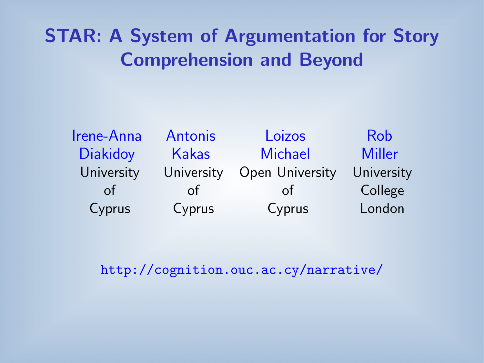# STAR: A System of Argumentation for Story Comprehension and Beyond

| Irene-Anna      | Antonis      | Loizos          | <b>Rob</b>    |
|-----------------|--------------|-----------------|---------------|
| <b>Diakidoy</b> | <b>Kakas</b> | <b>Michael</b>  | <b>Miller</b> |
| University      | University   | Open University | University    |
| of              | of           | 0t              | College       |
| Cyprus          | Cyprus       | Cyprus          | London        |

<http://cognition.ouc.ac.cy/narrative/>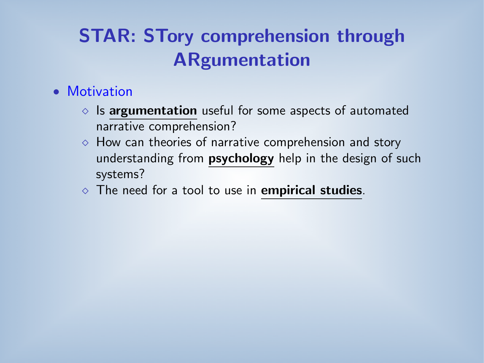# STAR: STory comprehension through ARgumentation

#### • Motivation

- $\circ$  Is argumentation useful for some aspects of automated narrative comprehension?
- $\Diamond$  How can theories of narrative comprehension and story understanding from **psychology** help in the design of such systems?
- $\Diamond$  The need for a tool to use in **empirical studies**.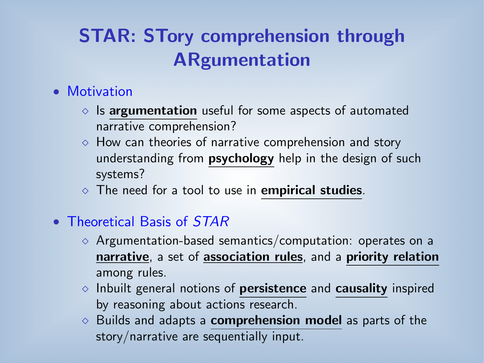# STAR: STory comprehension through ARgumentation

#### • Motivation

- $\circ$  Is argumentation useful for some aspects of automated narrative comprehension?
- $\Diamond$  How can theories of narrative comprehension and story understanding from **psychology** help in the design of such systems?
- $\Diamond$  The need for a tool to use in **empirical studies**.
- Theoretical Basis of *STAR* 
	- $\Diamond$  Argumentation-based semantics/computation: operates on a narrative, a set of association rules, and a priority relation among rules.
	- $\Diamond$  Inbuilt general notions of **persistence** and **causality** inspired by reasoning about actions research.
	- $\Diamond$  Builds and adapts a **comprehension model** as parts of the story/narrative are sequentially input.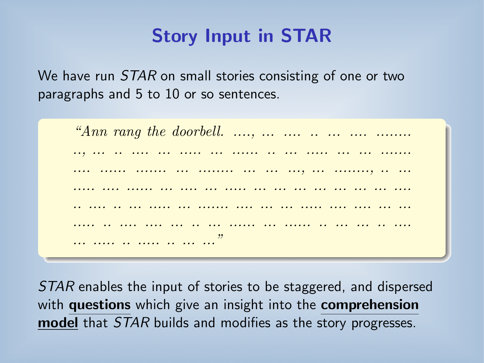### Story Input in STAR

We have run *STAR* on small stories consisting of one or two paragraphs and 5 to 10 or so sentences.

```
"Ann rang the doorbell. ...., ... .... .. ... .... ........
.., ... .. .... ... ..... ... ...... .. ... ..... ... ... .......
.... ...... ....... ... ........ ... ... ..., ... ........, .. ...
..... .... ...... ... .... ... ..... ... ... ... ... ... ... ... ....
       .. .... .. ... ..... ... ....... .... ... ... ..... .... .... ... ...
              .... ... ... ... ... ..... ... ...... ... ... ... ... ...
... ..... .. ..... .. ... ...
```
STAR enables the input of stories to be staggered, and dispersed with questions which give an insight into the comprehension model that *STAR* builds and modifies as the story progresses.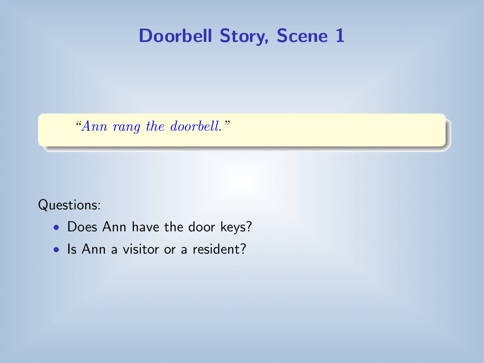#### Doorbell Story, Scene 1

"Ann rang the doorbell."

Questions:

- Does Ann have the door keys?
- Is Ann a visitor or a resident?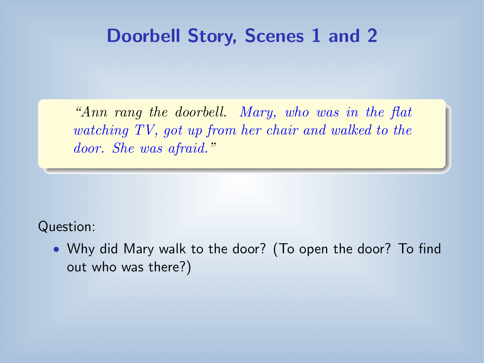#### Doorbell Story, Scenes 1 and 2

"Ann rang the doorbell. Mary, who was in the flat watching TV, got up from her chair and walked to the door. She was afraid."

Question:

• Why did Mary walk to the door? (To open the door? To find out who was there?)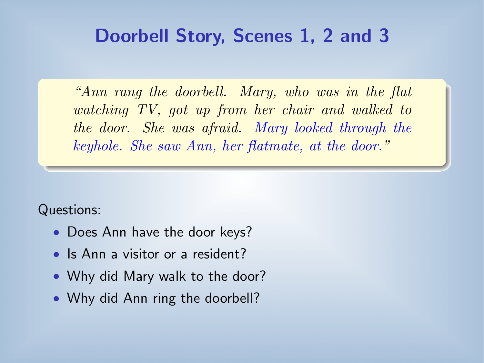### Doorbell Story, Scenes 1, 2 and 3

"Ann rang the doorbell. Mary, who was in the flat watching TV, got up from her chair and walked to the door. She was afraid. Mary looked through the keyhole. She saw Ann, her flatmate, at the door."

Questions:

- Does Ann have the door keys?
- Is Ann a visitor or a resident?
- Why did Mary walk to the door?
- Why did Ann ring the doorbell?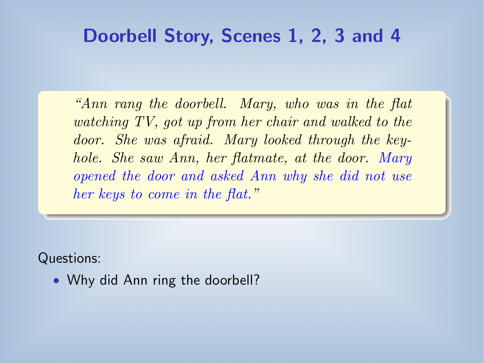#### Doorbell Story, Scenes 1, 2, 3 and 4

"Ann rang the doorbell. Mary, who was in the flat watching TV, got up from her chair and walked to the door. She was afraid. Mary looked through the keyhole. She saw Ann, her flatmate, at the door. Mary opened the door and asked Ann why she did not use her keys to come in the flat."

Questions:

• Why did Ann ring the doorbell?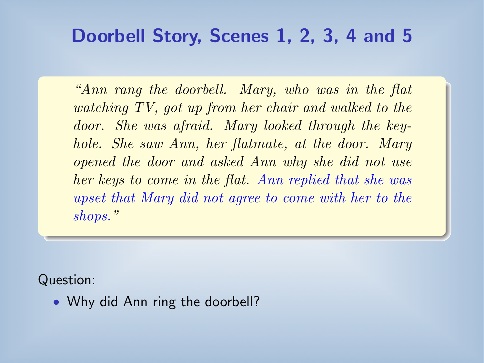### Doorbell Story, Scenes 1, 2, 3, 4 and 5

"Ann rang the doorbell. Mary, who was in the flat watching TV, got up from her chair and walked to the door. She was afraid. Mary looked through the keyhole. She saw Ann, her flatmate, at the door. Mary opened the door and asked Ann why she did not use her keys to come in the flat. Ann replied that she was upset that Mary did not agree to come with her to the shops."

Question:

• Why did Ann ring the doorbell?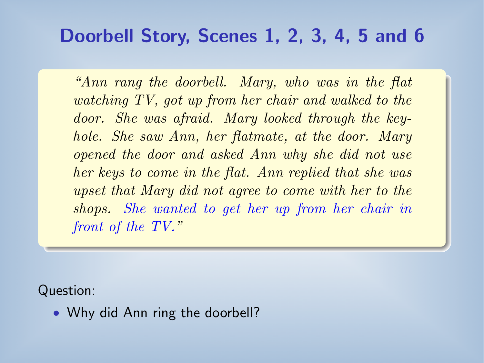### Doorbell Story, Scenes 1, 2, 3, 4, 5 and 6

"Ann rang the doorbell. Mary, who was in the flat watching TV, got up from her chair and walked to the door. She was afraid. Mary looked through the keyhole. She saw Ann, her flatmate, at the door. Mary opened the door and asked Ann why she did not use her keys to come in the flat. Ann replied that she was upset that Mary did not agree to come with her to the shops. She wanted to get her up from her chair in front of the TV."

Question:

• Why did Ann ring the doorbell?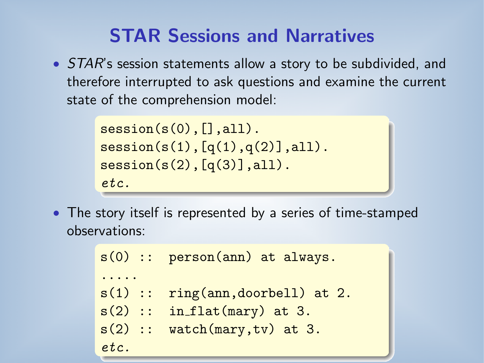### STAR Sessions and Narratives

• *STAR*'s session statements allow a story to be subdivided, and therefore interrupted to ask questions and examine the current state of the comprehension model:

```
session(s(0),[], all).
session(s(1), [q(1), q(2)], all).
sension(s(2), [q(3)], all).
etc.
```
• The story itself is represented by a series of time-stamped observations:

```
s(0) :: person(ann) at always.
.....
s(1) :: ring(ann,doorbell) at 2.
s(2) :: in flat(mary) at 3.
s(2) :: watch(mary, tv) at 3.
etc.
```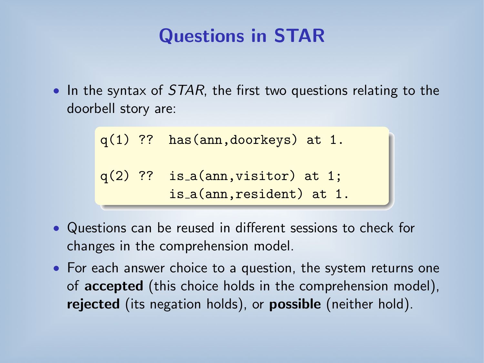## Questions in STAR

• In the syntax of  $STAR$ , the first two questions relating to the doorbell story are:

```
q(1) ?? has(ann,doorkeys) at 1.
q(2) ?? is a(ann, visitor) at 1;
         is a(ann,resident) at 1.
```
- Questions can be reused in different sessions to check for changes in the comprehension model.
- For each answer choice to a question, the system returns one of accepted (this choice holds in the comprehension model), rejected (its negation holds), or possible (neither hold).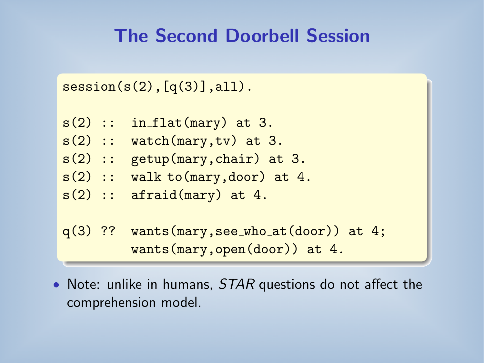## The Second Doorbell Session

```
session(s(2),[q(3)],all).
```
 $s(2)$  :: in flat(mary) at 3.  $s(2)$  :: watch(mary,tv) at 3. s(2) :: getup(mary,chair) at 3.  $s(2)$  :: walk\_to(mary,door) at 4.  $s(2)$  :: afraid(mary) at 4.  $q(3)$  ?? wants(mary, see\_who\_at(door)) at 4;

```
wants(mary,open(door)) at 4.
```
• Note: unlike in humans, *STAR* questions do not affect the comprehension model.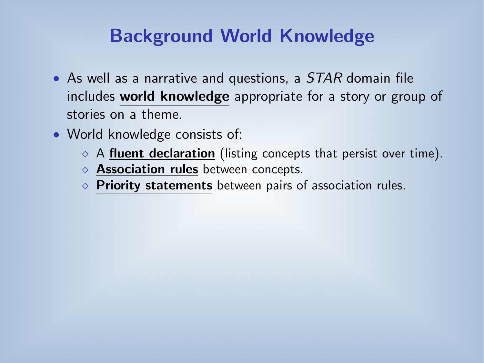## Background World Knowledge

- As well as a narrative and questions, a *STAR* domain file includes world knowledge appropriate for a story or group of stories on a theme.
- World knowledge consists of:
	- $\Diamond$  A fluent declaration (listing concepts that persist over time).
	- ◇ Association rules between concepts.
	- $\circ$  Priority statements between pairs of association rules.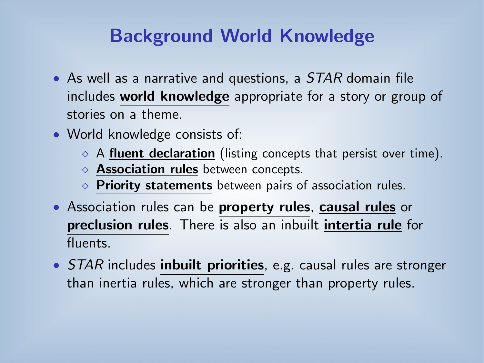### Background World Knowledge

- As well as a narrative and questions, a *STAR* domain file includes world knowledge appropriate for a story or group of stories on a theme.
- World knowledge consists of:
	- $\Diamond$  A fluent declaration (listing concepts that persist over time).
	- $\Diamond$  Association rules between concepts.
	- $\circ$  Priority statements between pairs of association rules.
- Association rules can be **property rules**, causal rules or preclusion rules. There is also an inbuilt intertia rule for fluents.
- *STAR* includes **inbuilt priorities**, e.g. causal rules are stronger than inertia rules, which are stronger than property rules.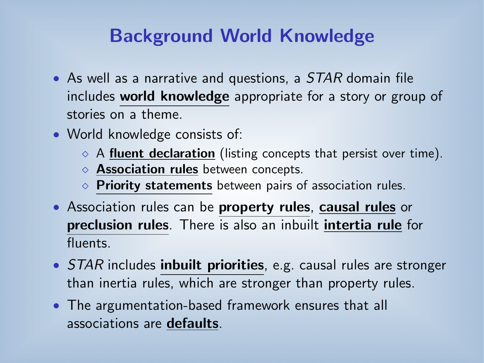## Background World Knowledge

- As well as a narrative and questions, a *STAR* domain file includes world knowledge appropriate for a story or group of stories on a theme.
- World knowledge consists of:
	- $\Diamond$  A fluent declaration (listing concepts that persist over time).
	- ◇ Association rules between concepts.
	- $\Diamond$  Priority statements between pairs of association rules.
- Association rules can be **property rules**, causal rules or preclusion rules. There is also an inbuilt intertia rule for fluents.
- *STAR* includes **inbuilt priorities**, e.g. causal rules are stronger than inertia rules, which are stronger than property rules.
- The argumentation-based framework ensures that all associations are defaults.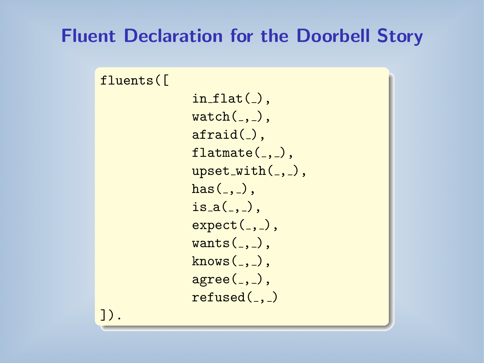#### Fluent Declaration for the Doorbell Story

```
fluents([
```

```
in_flat(.),
\text{watch}(\_,\_),
afraid(),
flatmate(,),
upset_with(, ),
has (, ),
is_a(.,.),
expect(, ),
wants(., ),
krows(.,.),
agree(, ),
refused(..)
```
]).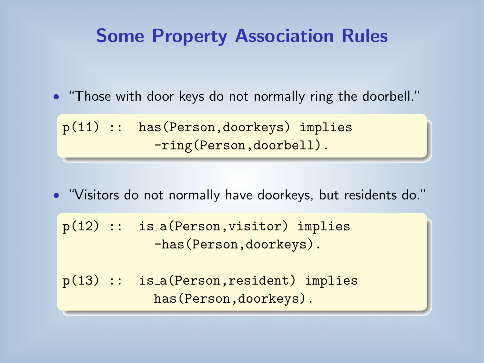### Some Property Association Rules

• "Those with door keys do not normally ring the doorbell."

p(11) :: has(Person,doorkeys) implies -ring(Person,doorbell).

• "Visitors do not normally have doorkeys, but residents do."

|  | $p(12)$ :: is_a(Person, visitor) implies |  |  |
|--|------------------------------------------|--|--|
|  | -has (Person, doorkeys).                 |  |  |

 $p(13)$  :: is  $a(Person, resident)$  implies has(Person,doorkeys).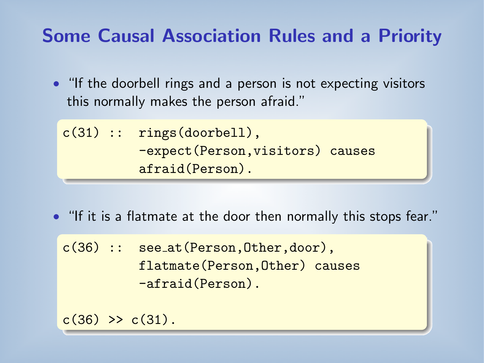## Some Causal Association Rules and a Priority

• "If the doorbell rings and a person is not expecting visitors this normally makes the person afraid."

```
c(31) :: rings(doorbell),
          -expect(Person,visitors) causes
          afraid(Person).
```
• "If it is a flatmate at the door then normally this stops fear."

c(36) :: see\_at(Person, Other, door), flatmate(Person,Other) causes -afraid(Person).

 $c(36)$  >>  $c(31)$ .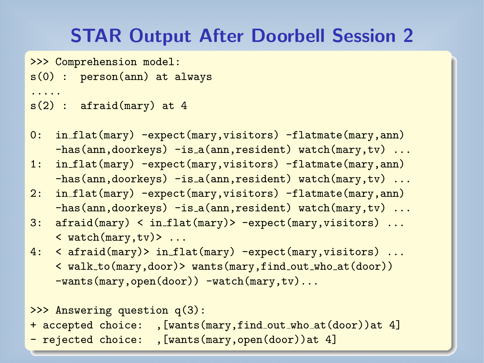## STAR Output After Doorbell Session 2

>>> Comprehension model:

s(0) : person(ann) at always

```
s(2): afraid(mary) at 4
```
.....

- 0: in flat(mary) -expect(mary,visitors) -flatmate(mary,ann) -has(ann,doorkeys) -is\_a(ann,resident) watch(mary,tv) ...
- 1: in flat(mary) -expect(mary,visitors) -flatmate(mary,ann) -has(ann,doorkeys) -is a(ann,resident) watch(mary,tv) ...
- 2: in flat(mary) -expect(mary,visitors) -flatmate(mary,ann) -has(ann,doorkeys) -is\_a(ann,resident) watch(mary,tv) ...
- 3: afraid(mary) < in flat(mary)> -expect(mary,visitors) ...  $\langle$  watch(mary,tv) > ...
- 4: < afraid(mary)> in flat(mary) -expect(mary,visitors) ... < walk to(mary,door)> wants(mary,find out who at(door)) -wants(mary,open(door)) -watch(mary,tv)...

```
>>> Answering question q(3):
+ accepted choice: , [wants(mary, find_out_who_at(door))at 4]
- rejected choice: ,[wants(mary,open(door))at 4]
```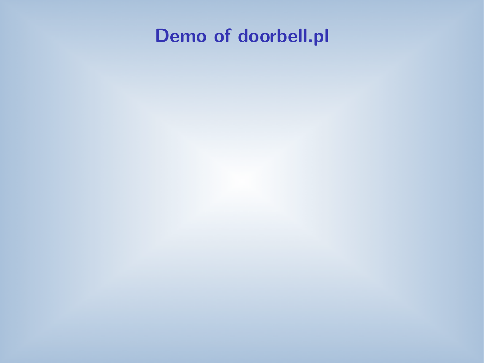# Demo of doorbell.pl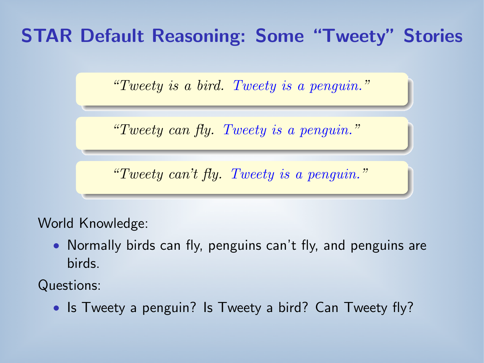## STAR Default Reasoning: Some "Tweety" Stories

"Tweety is a bird. Tweety is a penguin."

"Tweety can fly. Tweety is a penguin."

"Tweety can't fly. Tweety is a penguin."

#### World Knowledge:

• Normally birds can fly, penguins can't fly, and penguins are birds.

Questions:

• Is Tweety a penguin? Is Tweety a bird? Can Tweety fly?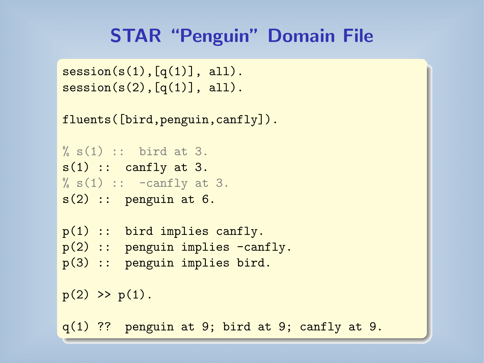### STAR "Penguin" Domain File

```
session(s(1),[q(1)], all).
sension(s(2), [q(1)], all).
```

```
fluents([bird,penguin,canfly]).
```

```
% s(1) :: bit bird at 3.
s(1) :: canfly at 3.
% s(1) :: -canfly at 3.s(2) :: penguin at 6.
```

```
p(1) :: bird implies canfly.
```

```
p(2) :: penguin implies -canfly.
```

```
p(3) :: penguin implies bird.
```

```
p(2) \gg p(1).
```
q(1) ?? penguin at 9; bird at 9; canfly at 9.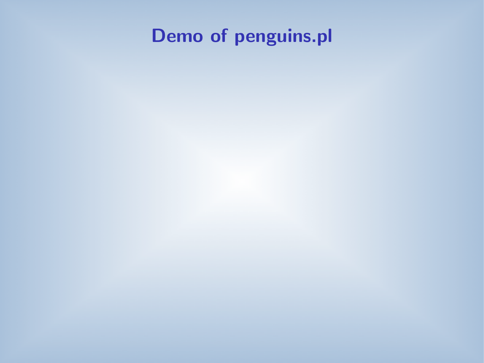# Demo of penguins.pl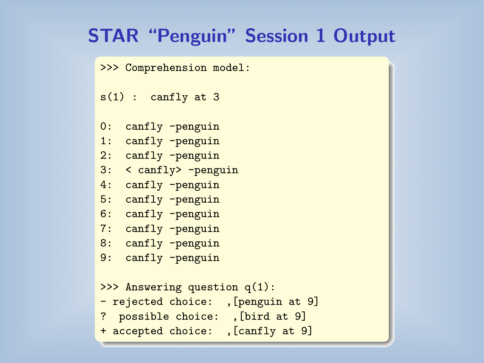### STAR "Penguin" Session 1 Output

>>> Comprehension model:

 $s(1)$  : canfly at 3

0: canfly -penguin

- 1: canfly -penguin
- 2: canfly -penguin
- 3: < canfly> -penguin
- 4: canfly -penguin
- 5: canfly -penguin
- 6: canfly -penguin
- 7: canfly -penguin
- 8: canfly -penguin
- 9: canfly -penguin

```
>>> Answering question q(1):
- rejected choice: ,[penguin at 9]
? possible choice: ,[bird at 9]
+ accepted choice: ,[canfly at 9]
```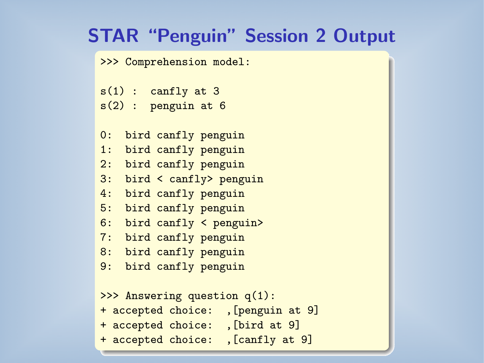### STAR "Penguin" Session 2 Output

>>> Comprehension model:

```
s(1) : canfly at 3
s(2): penguin at 6
```
- 0: bird canfly penguin
- 1: bird canfly penguin
- 2: bird canfly penguin
- 3: bird < canfly> penguin
- 4: bird canfly penguin
- 5: bird canfly penguin
- 6: bird canfly < penguin>
- 7: bird canfly penguin
- 8: bird canfly penguin
- 9: bird canfly penguin

```
>>> Answering question q(1):
+ accepted choice: ,[penguin at 9]
+ accepted choice: ,[bird at 9]
+ accepted choice: ,[canfly at 9]
```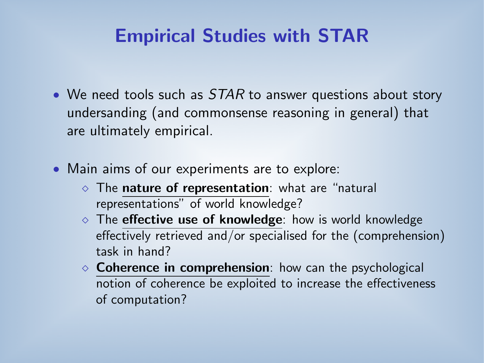## Empirical Studies with STAR

- We need tools such as STAR to answer questions about story undersanding (and commonsense reasoning in general) that are ultimately empirical.
- Main aims of our experiments are to explore:
	- $\Diamond$  The nature of representation: what are "natural representations" of world knowledge?
	- $\circ$  The effective use of knowledge: how is world knowledge effectively retrieved and/or specialised for the (comprehension) task in hand?
	- $\circ$  Coherence in comprehension: how can the psychological notion of coherence be exploited to increase the effectiveness of computation?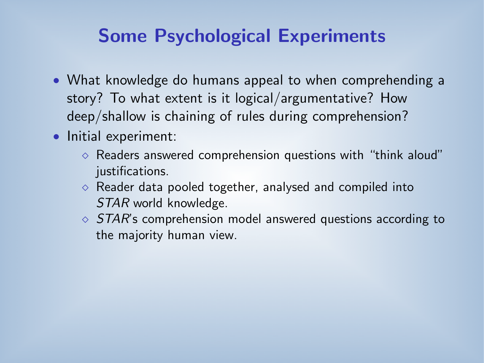### Some Psychological Experiments

- What knowledge do humans appeal to when comprehending a story? To what extent is it logical/argumentative? How deep/shallow is chaining of rules during comprehension?
- Initial experiment:
	- $\Diamond$  Readers answered comprehension questions with "think aloud" justifications.
	- $\Diamond$  Reader data pooled together, analysed and compiled into STAR world knowledge.
	- $\circ$  STAR's comprehension model answered questions according to the majority human view.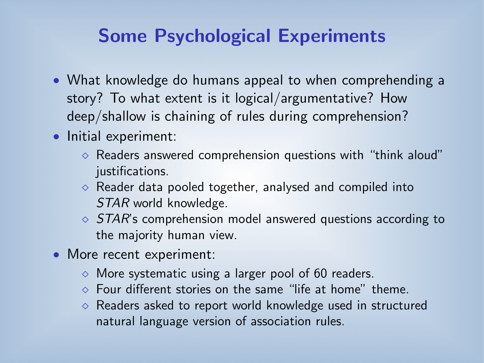### Some Psychological Experiments

- What knowledge do humans appeal to when comprehending a story? To what extent is it logical/argumentative? How deep/shallow is chaining of rules during comprehension?
- Initial experiment:
	- $\Diamond$  Readers answered comprehension questions with "think aloud" justifications.
	- $\Diamond$  Reader data pooled together, analysed and compiled into STAR world knowledge.
	- $\circ$  STAR's comprehension model answered questions according to the majority human view.
- More recent experiment:
	- $\Diamond$  More systematic using a larger pool of 60 readers.
	- $\Diamond$  Four different stories on the same "life at home" theme.
	- $\Diamond$  Readers asked to report world knowledge used in structured natural language version of association rules.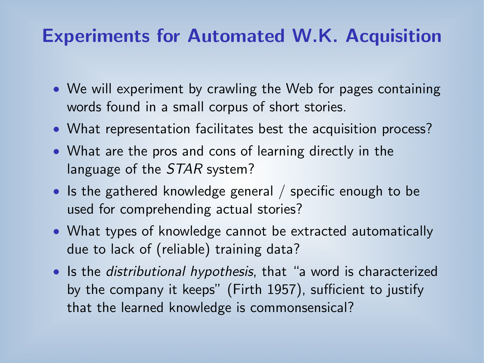### Experiments for Automated W.K. Acquisition

- We will experiment by crawling the Web for pages containing words found in a small corpus of short stories.
- What representation facilitates best the acquisition process?
- What are the pros and cons of learning directly in the language of the STAR system?
- Is the gathered knowledge general / specific enough to be used for comprehending actual stories?
- What types of knowledge cannot be extracted automatically due to lack of (reliable) training data?
- Is the *distributional hypothesis*, that "a word is characterized by the company it keeps" (Firth 1957), sufficient to justify that the learned knowledge is commonsensical?